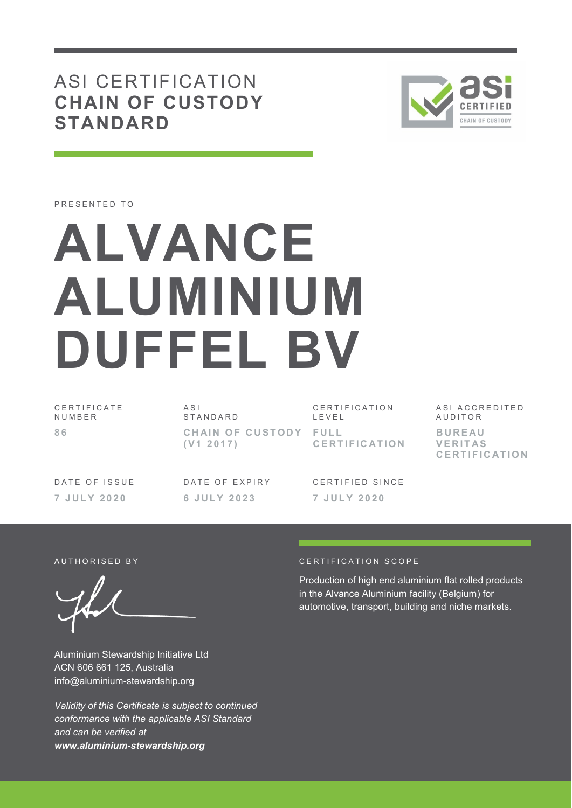ASI CERTIFICATION **CHAIN OF CUSTODY STANDARD**



PRESENTED TO

# **ALVANCE ALUMINIUM DUFFEL BV**

C E R T I F I C A T E **NUMBER 8 6** 

 $\triangle$  S I **STANDARD CHAIN OF CUSTODY ( V 1 2 0 1 7 )** 

C E R T I F I C A T I O N L E V E L **F U L L C E R T I F I C AT I O N**  ASI ACCREDITED **AUDITOR B U R E AU V E R I T AS C E R T I F I C AT I O N**

DATE OF ISSUE **7 J U L Y 2 0 2 0** 

DATE OF EXPIRY **6 J U L Y 2 0 2 3** 

CERTIFIED SINCE **7 J U L Y 2 0 2 0** 

Aluminium Stewardship Initiative Ltd ACN 606 661 125, Australia info@aluminium-stewardship.org

*Validity of this Certificate is subject to continued conformance with the applicable ASI Standard and can be verified at www.aluminium-stewardship.org*

#### AUTHORISED BY CERTIFICATION SCOPE

Production of high end aluminium flat rolled products in the Alvance Aluminium facility (Belgium) for automotive, transport, building and niche markets.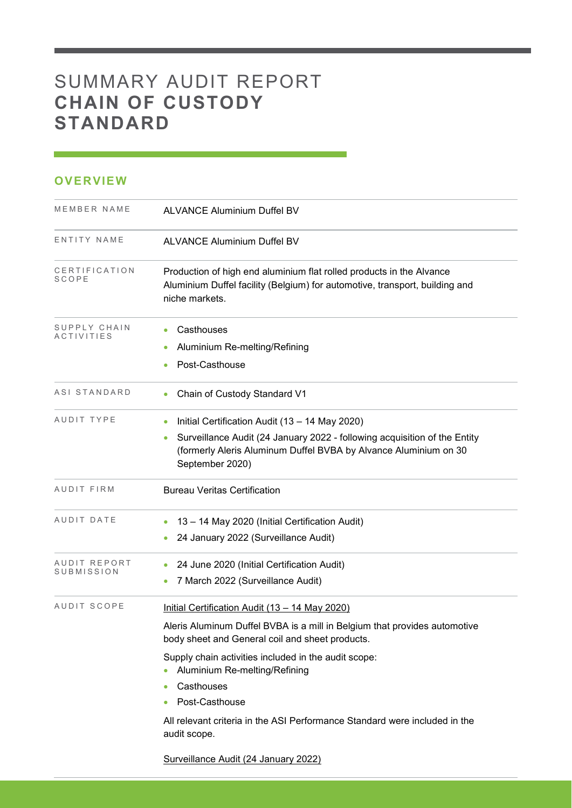# SUMMARY AUDIT REPORT **CHAIN OF CUSTODY STANDARD**

# **OVERVIEW**

| MEMBER NAME                   | <b>ALVANCE Aluminium Duffel BV</b>                                                                                                                                                                                                                                                                                                                                                                    |
|-------------------------------|-------------------------------------------------------------------------------------------------------------------------------------------------------------------------------------------------------------------------------------------------------------------------------------------------------------------------------------------------------------------------------------------------------|
| ENTITY NAME                   | <b>ALVANCE Aluminium Duffel BV</b>                                                                                                                                                                                                                                                                                                                                                                    |
| CERTIFICATION<br><b>SCOPE</b> | Production of high end aluminium flat rolled products in the Alvance<br>Aluminium Duffel facility (Belgium) for automotive, transport, building and<br>niche markets.                                                                                                                                                                                                                                 |
| SUPPLY CHAIN<br>ACTIVITIES    | Casthouses<br>Aluminium Re-melting/Refining<br>Post-Casthouse                                                                                                                                                                                                                                                                                                                                         |
| ASI STANDARD                  | Chain of Custody Standard V1                                                                                                                                                                                                                                                                                                                                                                          |
| AUDIT TYPE                    | Initial Certification Audit (13 - 14 May 2020)<br>۰<br>Surveillance Audit (24 January 2022 - following acquisition of the Entity<br>$\bullet$<br>(formerly Aleris Aluminum Duffel BVBA by Alvance Aluminium on 30<br>September 2020)                                                                                                                                                                  |
| AUDIT FIRM                    | <b>Bureau Veritas Certification</b>                                                                                                                                                                                                                                                                                                                                                                   |
| AUDIT DATE                    | 13 - 14 May 2020 (Initial Certification Audit)<br>24 January 2022 (Surveillance Audit)                                                                                                                                                                                                                                                                                                                |
| AUDIT REPORT<br>SUBMISSION    | 24 June 2020 (Initial Certification Audit)<br>7 March 2022 (Surveillance Audit)                                                                                                                                                                                                                                                                                                                       |
| AUDIT SCOPE                   | Initial Certification Audit (13 - 14 May 2020)<br>Aleris Aluminum Duffel BVBA is a mill in Belgium that provides automotive<br>body sheet and General coil and sheet products.<br>Supply chain activities included in the audit scope:<br>Aluminium Re-melting/Refining<br>Casthouses<br>Post-Casthouse<br>All relevant criteria in the ASI Performance Standard were included in the<br>audit scope. |

Surveillance Audit (24 January 2022)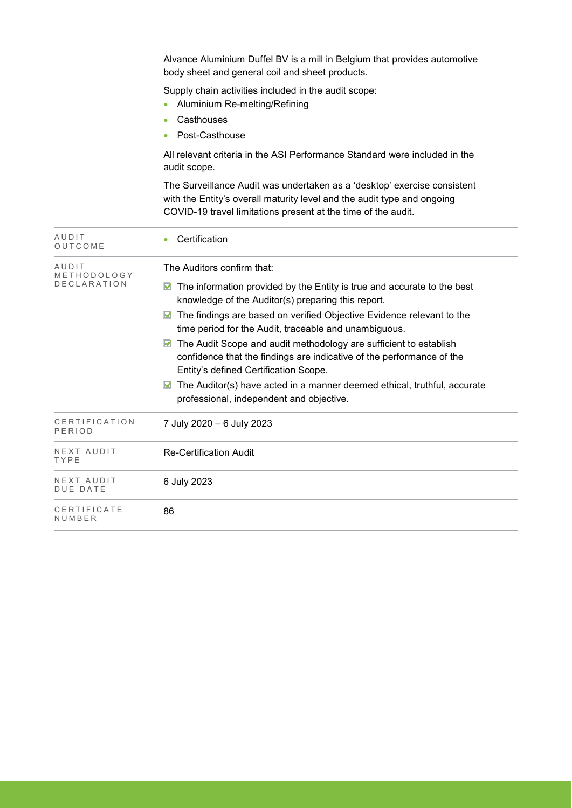|                                     | Alvance Aluminium Duffel BV is a mill in Belgium that provides automotive<br>body sheet and general coil and sheet products.                                                                                                                                                                                                                                                                                                                                                                                                                                                                                                                   |
|-------------------------------------|------------------------------------------------------------------------------------------------------------------------------------------------------------------------------------------------------------------------------------------------------------------------------------------------------------------------------------------------------------------------------------------------------------------------------------------------------------------------------------------------------------------------------------------------------------------------------------------------------------------------------------------------|
|                                     | Supply chain activities included in the audit scope:<br>Aluminium Re-melting/Refining<br>Casthouses<br>$\bullet$<br>Post-Casthouse                                                                                                                                                                                                                                                                                                                                                                                                                                                                                                             |
|                                     | All relevant criteria in the ASI Performance Standard were included in the<br>audit scope.                                                                                                                                                                                                                                                                                                                                                                                                                                                                                                                                                     |
|                                     | The Surveillance Audit was undertaken as a 'desktop' exercise consistent<br>with the Entity's overall maturity level and the audit type and ongoing<br>COVID-19 travel limitations present at the time of the audit.                                                                                                                                                                                                                                                                                                                                                                                                                           |
| AUDIT<br>OUTCOME                    | Certification<br>$\bullet$                                                                                                                                                                                                                                                                                                                                                                                                                                                                                                                                                                                                                     |
| AUDIT<br>METHODOLOGY<br>DECLARATION | The Auditors confirm that:<br>$\blacksquare$ The information provided by the Entity is true and accurate to the best<br>knowledge of the Auditor(s) preparing this report.<br>▶ The findings are based on verified Objective Evidence relevant to the<br>time period for the Audit, traceable and unambiguous.<br>■ The Audit Scope and audit methodology are sufficient to establish<br>confidence that the findings are indicative of the performance of the<br>Entity's defined Certification Scope.<br>$\blacksquare$ The Auditor(s) have acted in a manner deemed ethical, truthful, accurate<br>professional, independent and objective. |
| CERTIFICATION<br>PERIOD             | 7 July 2020 - 6 July 2023                                                                                                                                                                                                                                                                                                                                                                                                                                                                                                                                                                                                                      |
| NEXT AUDIT<br>TYPE                  | <b>Re-Certification Audit</b>                                                                                                                                                                                                                                                                                                                                                                                                                                                                                                                                                                                                                  |
| NEXT AUDIT<br><b>DUE DATE</b>       | 6 July 2023                                                                                                                                                                                                                                                                                                                                                                                                                                                                                                                                                                                                                                    |
| CERTIFICATE<br>NUMBER               | 86                                                                                                                                                                                                                                                                                                                                                                                                                                                                                                                                                                                                                                             |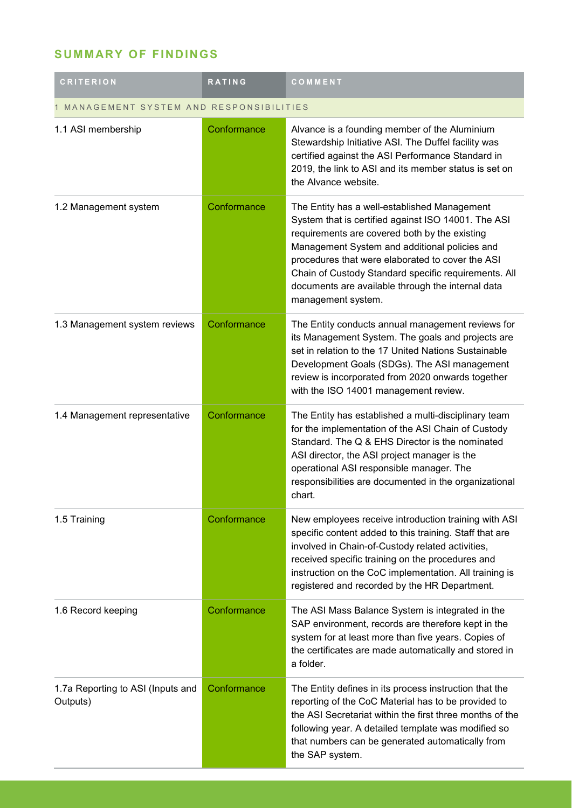# **SUMMARY OF FINDINGS**

| <b>CRITERION</b>                              | <b>RATING</b> | COMMENT                                                                                                                                                                                                                                                                                                                                                                                      |  |
|-----------------------------------------------|---------------|----------------------------------------------------------------------------------------------------------------------------------------------------------------------------------------------------------------------------------------------------------------------------------------------------------------------------------------------------------------------------------------------|--|
| MANAGEMENT SYSTEM AND RESPONSIBILITIES        |               |                                                                                                                                                                                                                                                                                                                                                                                              |  |
| 1.1 ASI membership                            | Conformance   | Alvance is a founding member of the Aluminium<br>Stewardship Initiative ASI. The Duffel facility was<br>certified against the ASI Performance Standard in<br>2019, the link to ASI and its member status is set on<br>the Alvance website.                                                                                                                                                   |  |
| 1.2 Management system                         | Conformance   | The Entity has a well-established Management<br>System that is certified against ISO 14001. The ASI<br>requirements are covered both by the existing<br>Management System and additional policies and<br>procedures that were elaborated to cover the ASI<br>Chain of Custody Standard specific requirements. All<br>documents are available through the internal data<br>management system. |  |
| 1.3 Management system reviews                 | Conformance   | The Entity conducts annual management reviews for<br>its Management System. The goals and projects are<br>set in relation to the 17 United Nations Sustainable<br>Development Goals (SDGs). The ASI management<br>review is incorporated from 2020 onwards together<br>with the ISO 14001 management review.                                                                                 |  |
| 1.4 Management representative                 | Conformance   | The Entity has established a multi-disciplinary team<br>for the implementation of the ASI Chain of Custody<br>Standard. The Q & EHS Director is the nominated<br>ASI director, the ASI project manager is the<br>operational ASI responsible manager. The<br>responsibilities are documented in the organizational<br>chart.                                                                 |  |
| 1.5 Training                                  | Conformance   | New employees receive introduction training with ASI<br>specific content added to this training. Staff that are<br>involved in Chain-of-Custody related activities,<br>received specific training on the procedures and<br>instruction on the CoC implementation. All training is<br>registered and recorded by the HR Department.                                                           |  |
| 1.6 Record keeping                            | Conformance   | The ASI Mass Balance System is integrated in the<br>SAP environment, records are therefore kept in the<br>system for at least more than five years. Copies of<br>the certificates are made automatically and stored in<br>a folder.                                                                                                                                                          |  |
| 1.7a Reporting to ASI (Inputs and<br>Outputs) | Conformance   | The Entity defines in its process instruction that the<br>reporting of the CoC Material has to be provided to<br>the ASI Secretariat within the first three months of the<br>following year. A detailed template was modified so<br>that numbers can be generated automatically from<br>the SAP system.                                                                                      |  |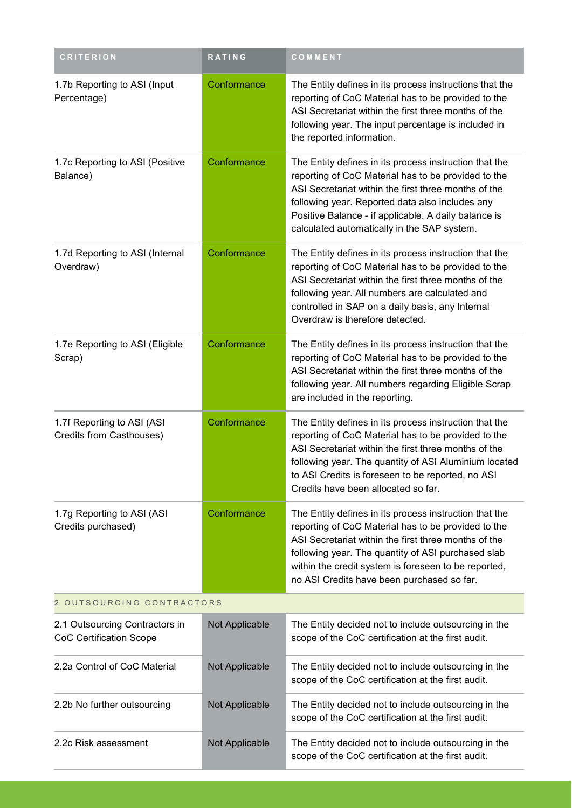| <b>CRITERION</b>                                                 | <b>RATING</b>  | COMMENT                                                                                                                                                                                                                                                                                                                           |
|------------------------------------------------------------------|----------------|-----------------------------------------------------------------------------------------------------------------------------------------------------------------------------------------------------------------------------------------------------------------------------------------------------------------------------------|
| 1.7b Reporting to ASI (Input<br>Percentage)                      | Conformance    | The Entity defines in its process instructions that the<br>reporting of CoC Material has to be provided to the<br>ASI Secretariat within the first three months of the<br>following year. The input percentage is included in<br>the reported information.                                                                        |
| 1.7c Reporting to ASI (Positive<br>Balance)                      | Conformance    | The Entity defines in its process instruction that the<br>reporting of CoC Material has to be provided to the<br>ASI Secretariat within the first three months of the<br>following year. Reported data also includes any<br>Positive Balance - if applicable. A daily balance is<br>calculated automatically in the SAP system.   |
| 1.7d Reporting to ASI (Internal<br>Overdraw)                     | Conformance    | The Entity defines in its process instruction that the<br>reporting of CoC Material has to be provided to the<br>ASI Secretariat within the first three months of the<br>following year. All numbers are calculated and<br>controlled in SAP on a daily basis, any Internal<br>Overdraw is therefore detected.                    |
| 1.7e Reporting to ASI (Eligible<br>Scrap)                        | Conformance    | The Entity defines in its process instruction that the<br>reporting of CoC Material has to be provided to the<br>ASI Secretariat within the first three months of the<br>following year. All numbers regarding Eligible Scrap<br>are included in the reporting.                                                                   |
| 1.7f Reporting to ASI (ASI<br>Credits from Casthouses)           | Conformance    | The Entity defines in its process instruction that the<br>reporting of CoC Material has to be provided to the<br>ASI Secretariat within the first three months of the<br>following year. The quantity of ASI Aluminium located<br>to ASI Credits is foreseen to be reported, no ASI<br>Credits have been allocated so far.        |
| 1.7g Reporting to ASI (ASI<br>Credits purchased)                 | Conformance    | The Entity defines in its process instruction that the<br>reporting of CoC Material has to be provided to the<br>ASI Secretariat within the first three months of the<br>following year. The quantity of ASI purchased slab<br>within the credit system is foreseen to be reported,<br>no ASI Credits have been purchased so far. |
| 2 OUTSOURCING CONTRACTORS                                        |                |                                                                                                                                                                                                                                                                                                                                   |
| 2.1 Outsourcing Contractors in<br><b>CoC Certification Scope</b> | Not Applicable | The Entity decided not to include outsourcing in the<br>scope of the CoC certification at the first audit.                                                                                                                                                                                                                        |
| 2.2a Control of CoC Material                                     | Not Applicable | The Entity decided not to include outsourcing in the<br>scope of the CoC certification at the first audit.                                                                                                                                                                                                                        |
| 2.2b No further outsourcing                                      | Not Applicable | The Entity decided not to include outsourcing in the<br>scope of the CoC certification at the first audit.                                                                                                                                                                                                                        |
| 2.2c Risk assessment                                             | Not Applicable | The Entity decided not to include outsourcing in the<br>scope of the CoC certification at the first audit.                                                                                                                                                                                                                        |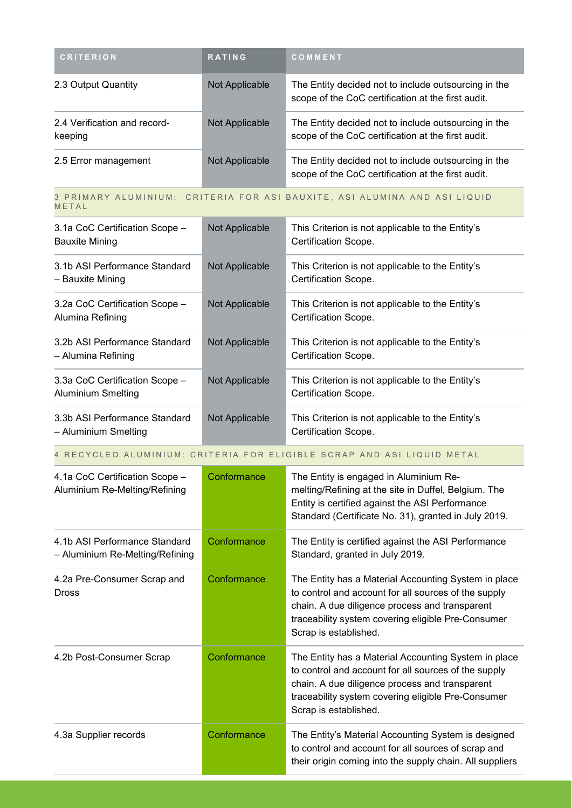| <b>CRITERION</b>                        | <b>RATING</b>  | <b>COMMENT</b>                                                                                             |
|-----------------------------------------|----------------|------------------------------------------------------------------------------------------------------------|
| 2.3 Output Quantity                     | Not Applicable | The Entity decided not to include outsourcing in the<br>scope of the CoC certification at the first audit. |
| 2.4 Verification and record-<br>keeping | Not Applicable | The Entity decided not to include outsourcing in the<br>scope of the CoC certification at the first audit. |
| 2.5 Error management                    | Not Applicable | The Entity decided not to include outsourcing in the<br>scope of the CoC certification at the first audit. |

#### 3 PRIMARY ALUMINIUM: CRITERIA FOR ASI BAUXITE, ASI ALUMINA AND ASI LIQUID M E T A L

| 3.1a CoC Certification Scope -<br><b>Bauxite Mining</b>     | Not Applicable        | This Criterion is not applicable to the Entity's<br>Certification Scope. |
|-------------------------------------------------------------|-----------------------|--------------------------------------------------------------------------|
| 3.1b ASI Performance Standard<br>– Bauxite Mining           | Not Applicable        | This Criterion is not applicable to the Entity's<br>Certification Scope. |
| 3.2a CoC Certification Scope -<br>Alumina Refining          | <b>Not Applicable</b> | This Criterion is not applicable to the Entity's<br>Certification Scope. |
| 3.2b ASI Performance Standard<br>– Alumina Refining         | Not Applicable        | This Criterion is not applicable to the Entity's<br>Certification Scope. |
| 3.3a CoC Certification Scope -<br><b>Aluminium Smelting</b> | Not Applicable        | This Criterion is not applicable to the Entity's<br>Certification Scope. |
| 3.3b ASI Performance Standard<br>– Aluminium Smelting       | Not Applicable        | This Criterion is not applicable to the Entity's<br>Certification Scope. |

# 4 RECYCLED ALUMINIUM: CRITERIA FOR ELIGIBLE SCRAP AND ASI LIQUID METAL

| 4.1a CoC Certification Scope -<br>Aluminium Re-Melting/Refining  | Conformance | The Entity is engaged in Aluminium Re-<br>melting/Refining at the site in Duffel, Belgium. The<br>Entity is certified against the ASI Performance<br>Standard (Certificate No. 31), granted in July 2019.                                     |
|------------------------------------------------------------------|-------------|-----------------------------------------------------------------------------------------------------------------------------------------------------------------------------------------------------------------------------------------------|
| 4.1b ASI Performance Standard<br>- Aluminium Re-Melting/Refining | Conformance | The Entity is certified against the ASI Performance<br>Standard, granted in July 2019.                                                                                                                                                        |
| 4.2a Pre-Consumer Scrap and<br><b>Dross</b>                      | Conformance | The Entity has a Material Accounting System in place<br>to control and account for all sources of the supply<br>chain. A due diligence process and transparent<br>traceability system covering eligible Pre-Consumer<br>Scrap is established. |
| 4.2b Post-Consumer Scrap                                         | Conformance | The Entity has a Material Accounting System in place<br>to control and account for all sources of the supply<br>chain. A due diligence process and transparent<br>traceability system covering eligible Pre-Consumer<br>Scrap is established. |
| 4.3a Supplier records                                            | Conformance | The Entity's Material Accounting System is designed<br>to control and account for all sources of scrap and<br>their origin coming into the supply chain. All suppliers                                                                        |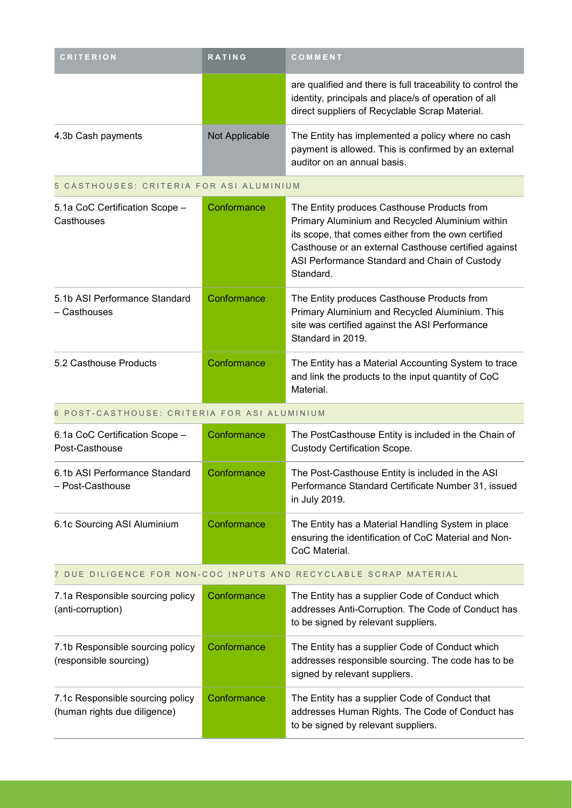| <b>CRITERION</b>   | <b>RATING</b>  | <b>COMMENT</b>                                                                                                                                                        |
|--------------------|----------------|-----------------------------------------------------------------------------------------------------------------------------------------------------------------------|
|                    |                | are qualified and there is full traceability to control the<br>identity, principals and place/s of operation of all<br>direct suppliers of Recyclable Scrap Material. |
| 4.3b Cash payments | Not Applicable | The Entity has implemented a policy where no cash<br>payment is allowed. This is confirmed by an external<br>auditor on an annual basis.                              |

# 5 CASTHOUSES: CRITERIA FOR ASI ALUMINIUM

| 5.1a CoC Certification Scope -<br>Casthouses  | Conformance | The Entity produces Casthouse Products from<br>Primary Aluminium and Recycled Aluminium within<br>its scope, that comes either from the own certified<br>Casthouse or an external Casthouse certified against<br>ASI Performance Standard and Chain of Custody<br>Standard. |
|-----------------------------------------------|-------------|-----------------------------------------------------------------------------------------------------------------------------------------------------------------------------------------------------------------------------------------------------------------------------|
| 5.1b ASI Performance Standard<br>- Casthouses | Conformance | The Entity produces Casthouse Products from<br>Primary Aluminium and Recycled Aluminium. This<br>site was certified against the ASI Performance<br>Standard in 2019.                                                                                                        |
| 5.2 Casthouse Products                        | Conformance | The Entity has a Material Accounting System to trace<br>and link the products to the input quantity of CoC<br>Material.                                                                                                                                                     |

#### 6 POST-CASTHOUSE: CRITERIA FOR ASI ALUMINIUM

| 6.1a CoC Certification Scope -<br>Post-Casthouse  | Conformance | The PostCasthouse Entity is included in the Chain of<br><b>Custody Certification Scope.</b>                                 |
|---------------------------------------------------|-------------|-----------------------------------------------------------------------------------------------------------------------------|
| 6.1b ASI Performance Standard<br>- Post-Casthouse | Conformance | The Post-Casthouse Entity is included in the ASI<br>Performance Standard Certificate Number 31, issued<br>in July 2019.     |
| 6.1c Sourcing ASI Aluminium                       | Conformance | The Entity has a Material Handling System in place<br>ensuring the identification of CoC Material and Non-<br>CoC Material. |

### 7 DUE DILIGENCE FOR NON-COC INPUTS AND RECYCLABLE SCRAP MATERIAL

| 7.1a Responsible sourcing policy<br>(anti-corruption)            | Conformance | The Entity has a supplier Code of Conduct which<br>addresses Anti-Corruption. The Code of Conduct has<br>to be signed by relevant suppliers. |
|------------------------------------------------------------------|-------------|----------------------------------------------------------------------------------------------------------------------------------------------|
| 7.1b Responsible sourcing policy<br>(responsible sourcing)       | Conformance | The Entity has a supplier Code of Conduct which<br>addresses responsible sourcing. The code has to be<br>signed by relevant suppliers.       |
| 7.1c Responsible sourcing policy<br>(human rights due diligence) | Conformance | The Entity has a supplier Code of Conduct that<br>addresses Human Rights. The Code of Conduct has<br>to be signed by relevant suppliers.     |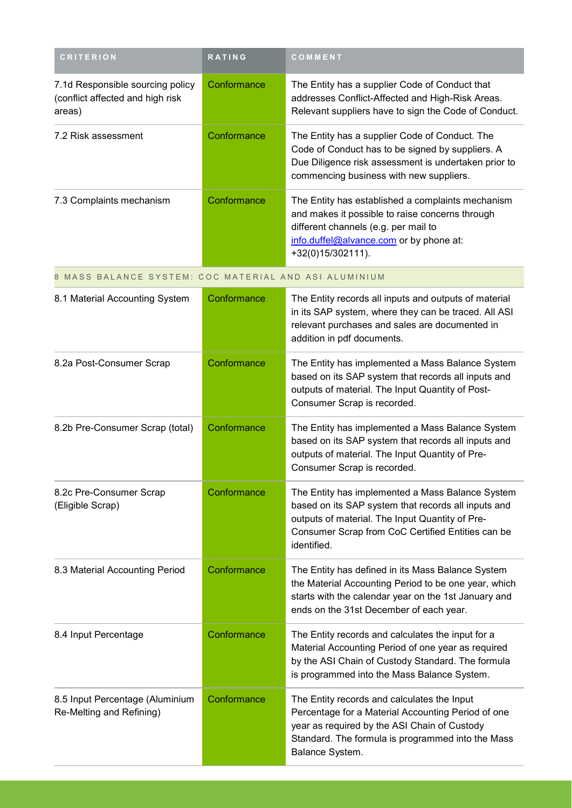| <b>CRITERION</b>                                                               | <b>RATING</b> | COMMENT                                                                                                                                                                                                        |
|--------------------------------------------------------------------------------|---------------|----------------------------------------------------------------------------------------------------------------------------------------------------------------------------------------------------------------|
| 7.1d Responsible sourcing policy<br>(conflict affected and high risk<br>areas) | Conformance   | The Entity has a supplier Code of Conduct that<br>addresses Conflict-Affected and High-Risk Areas.<br>Relevant suppliers have to sign the Code of Conduct.                                                     |
| 7.2 Risk assessment                                                            | Conformance   | The Entity has a supplier Code of Conduct. The<br>Code of Conduct has to be signed by suppliers. A<br>Due Diligence risk assessment is undertaken prior to<br>commencing business with new suppliers.          |
| 7.3 Complaints mechanism                                                       | Conformance   | The Entity has established a complaints mechanism<br>and makes it possible to raise concerns through<br>different channels (e.g. per mail to<br>info.duffel@alvance.com or by phone at:<br>$+32(0)15/302111$ . |

8 MASS BALANCE SYSTEM: COC MATERIAL AND ASI ALUMINIUM

| 8.1 Material Accounting System                              | Conformance | The Entity records all inputs and outputs of material<br>in its SAP system, where they can be traced. All ASI<br>relevant purchases and sales are documented in<br>addition in pdf documents.                                  |
|-------------------------------------------------------------|-------------|--------------------------------------------------------------------------------------------------------------------------------------------------------------------------------------------------------------------------------|
| 8.2a Post-Consumer Scrap                                    | Conformance | The Entity has implemented a Mass Balance System<br>based on its SAP system that records all inputs and<br>outputs of material. The Input Quantity of Post-<br>Consumer Scrap is recorded.                                     |
| 8.2b Pre-Consumer Scrap (total)                             | Conformance | The Entity has implemented a Mass Balance System<br>based on its SAP system that records all inputs and<br>outputs of material. The Input Quantity of Pre-<br>Consumer Scrap is recorded.                                      |
| 8.2c Pre-Consumer Scrap<br>(Eligible Scrap)                 | Conformance | The Entity has implemented a Mass Balance System<br>based on its SAP system that records all inputs and<br>outputs of material. The Input Quantity of Pre-<br>Consumer Scrap from CoC Certified Entities can be<br>identified. |
| 8.3 Material Accounting Period                              | Conformance | The Entity has defined in its Mass Balance System<br>the Material Accounting Period to be one year, which<br>starts with the calendar year on the 1st January and<br>ends on the 31st December of each year.                   |
| 8.4 Input Percentage                                        | Conformance | The Entity records and calculates the input for a<br>Material Accounting Period of one year as required<br>by the ASI Chain of Custody Standard. The formula<br>is programmed into the Mass Balance System.                    |
| 8.5 Input Percentage (Aluminium<br>Re-Melting and Refining) | Conformance | The Entity records and calculates the Input<br>Percentage for a Material Accounting Period of one<br>year as required by the ASI Chain of Custody<br>Standard. The formula is programmed into the Mass<br>Balance System.      |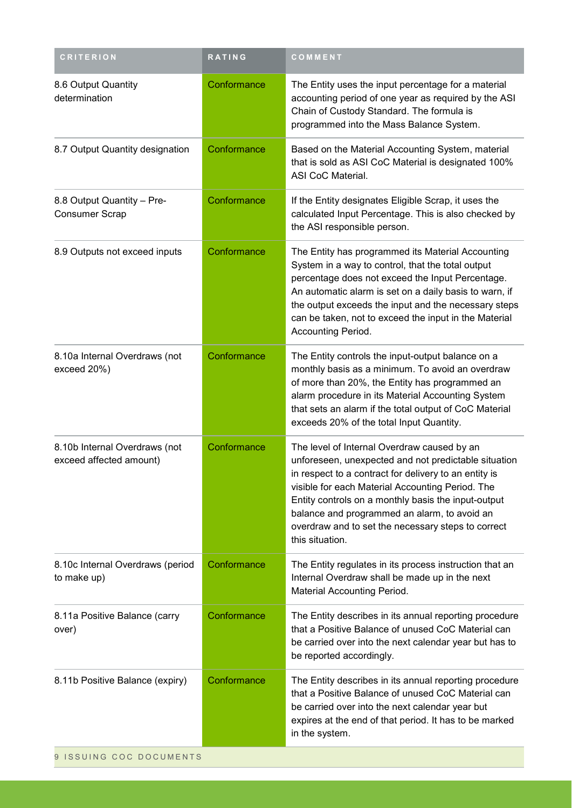| <b>CRITERION</b>                                         | <b>RATING</b> | COMMENT                                                                                                                                                                                                                                                                                                                                                                                          |
|----------------------------------------------------------|---------------|--------------------------------------------------------------------------------------------------------------------------------------------------------------------------------------------------------------------------------------------------------------------------------------------------------------------------------------------------------------------------------------------------|
| 8.6 Output Quantity<br>determination                     | Conformance   | The Entity uses the input percentage for a material<br>accounting period of one year as required by the ASI<br>Chain of Custody Standard. The formula is<br>programmed into the Mass Balance System.                                                                                                                                                                                             |
| 8.7 Output Quantity designation                          | Conformance   | Based on the Material Accounting System, material<br>that is sold as ASI CoC Material is designated 100%<br>ASI CoC Material.                                                                                                                                                                                                                                                                    |
| 8.8 Output Quantity - Pre-<br>Consumer Scrap             | Conformance   | If the Entity designates Eligible Scrap, it uses the<br>calculated Input Percentage. This is also checked by<br>the ASI responsible person.                                                                                                                                                                                                                                                      |
| 8.9 Outputs not exceed inputs                            | Conformance   | The Entity has programmed its Material Accounting<br>System in a way to control, that the total output<br>percentage does not exceed the Input Percentage.<br>An automatic alarm is set on a daily basis to warn, if<br>the output exceeds the input and the necessary steps<br>can be taken, not to exceed the input in the Material<br>Accounting Period.                                      |
| 8.10a Internal Overdraws (not<br>exceed 20%)             | Conformance   | The Entity controls the input-output balance on a<br>monthly basis as a minimum. To avoid an overdraw<br>of more than 20%, the Entity has programmed an<br>alarm procedure in its Material Accounting System<br>that sets an alarm if the total output of CoC Material<br>exceeds 20% of the total Input Quantity.                                                                               |
| 8.10b Internal Overdraws (not<br>exceed affected amount) | Conformance   | The level of Internal Overdraw caused by an<br>unforeseen, unexpected and not predictable situation<br>in respect to a contract for delivery to an entity is<br>visible for each Material Accounting Period. The<br>Entity controls on a monthly basis the input-output<br>balance and programmed an alarm, to avoid an<br>overdraw and to set the necessary steps to correct<br>this situation. |
| 8.10c Internal Overdraws (period<br>to make up)          | Conformance   | The Entity regulates in its process instruction that an<br>Internal Overdraw shall be made up in the next<br>Material Accounting Period.                                                                                                                                                                                                                                                         |
| 8.11a Positive Balance (carry<br>over)                   | Conformance   | The Entity describes in its annual reporting procedure<br>that a Positive Balance of unused CoC Material can<br>be carried over into the next calendar year but has to<br>be reported accordingly.                                                                                                                                                                                               |
| 8.11b Positive Balance (expiry)                          | Conformance   | The Entity describes in its annual reporting procedure<br>that a Positive Balance of unused CoC Material can<br>be carried over into the next calendar year but<br>expires at the end of that period. It has to be marked<br>in the system.                                                                                                                                                      |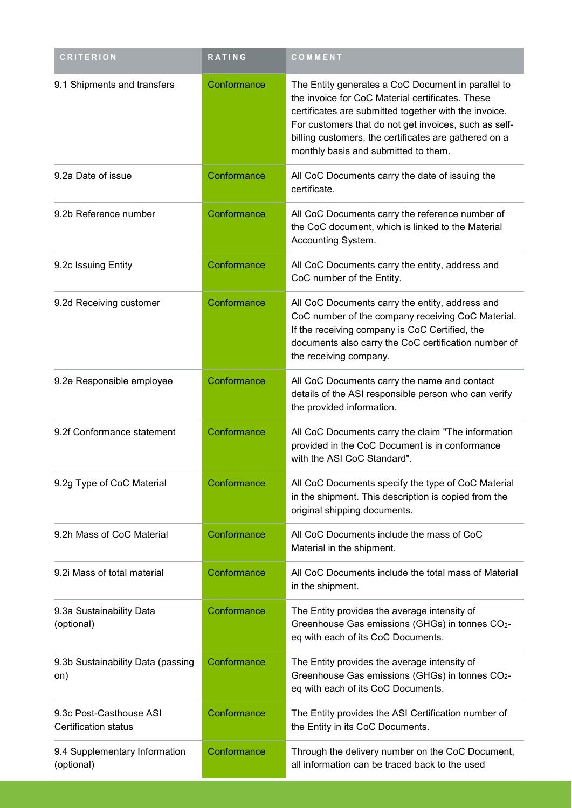| <b>CRITERION</b>                                | <b>RATING</b> | COMMENT                                                                                                                                                                                                                                                                                                                   |
|-------------------------------------------------|---------------|---------------------------------------------------------------------------------------------------------------------------------------------------------------------------------------------------------------------------------------------------------------------------------------------------------------------------|
| 9.1 Shipments and transfers                     | Conformance   | The Entity generates a CoC Document in parallel to<br>the invoice for CoC Material certificates. These<br>certificates are submitted together with the invoice.<br>For customers that do not get invoices, such as self-<br>billing customers, the certificates are gathered on a<br>monthly basis and submitted to them. |
| 9.2a Date of issue                              | Conformance   | All CoC Documents carry the date of issuing the<br>certificate.                                                                                                                                                                                                                                                           |
| 9.2b Reference number                           | Conformance   | All CoC Documents carry the reference number of<br>the CoC document, which is linked to the Material<br>Accounting System.                                                                                                                                                                                                |
| 9.2c Issuing Entity                             | Conformance   | All CoC Documents carry the entity, address and<br>CoC number of the Entity.                                                                                                                                                                                                                                              |
| 9.2d Receiving customer                         | Conformance   | All CoC Documents carry the entity, address and<br>CoC number of the company receiving CoC Material.<br>If the receiving company is CoC Certified, the<br>documents also carry the CoC certification number of<br>the receiving company.                                                                                  |
| 9.2e Responsible employee                       | Conformance   | All CoC Documents carry the name and contact<br>details of the ASI responsible person who can verify<br>the provided information.                                                                                                                                                                                         |
| 9.2f Conformance statement                      | Conformance   | All CoC Documents carry the claim "The information<br>provided in the CoC Document is in conformance<br>with the ASI CoC Standard".                                                                                                                                                                                       |
| 9.2g Type of CoC Material                       | Conformance   | All CoC Documents specify the type of CoC Material<br>in the shipment. This description is copied from the<br>original shipping documents.                                                                                                                                                                                |
| 9.2h Mass of CoC Material                       | Conformance   | All CoC Documents include the mass of CoC<br>Material in the shipment.                                                                                                                                                                                                                                                    |
| 9.2i Mass of total material                     | Conformance   | All CoC Documents include the total mass of Material<br>in the shipment.                                                                                                                                                                                                                                                  |
| 9.3a Sustainability Data<br>(optional)          | Conformance   | The Entity provides the average intensity of<br>Greenhouse Gas emissions (GHGs) in tonnes CO2-<br>eq with each of its CoC Documents.                                                                                                                                                                                      |
| 9.3b Sustainability Data (passing<br>on)        | Conformance   | The Entity provides the average intensity of<br>Greenhouse Gas emissions (GHGs) in tonnes CO2-<br>eq with each of its CoC Documents.                                                                                                                                                                                      |
| 9.3c Post-Casthouse ASI<br>Certification status | Conformance   | The Entity provides the ASI Certification number of<br>the Entity in its CoC Documents.                                                                                                                                                                                                                                   |
| 9.4 Supplementary Information<br>(optional)     | Conformance   | Through the delivery number on the CoC Document,<br>all information can be traced back to the used                                                                                                                                                                                                                        |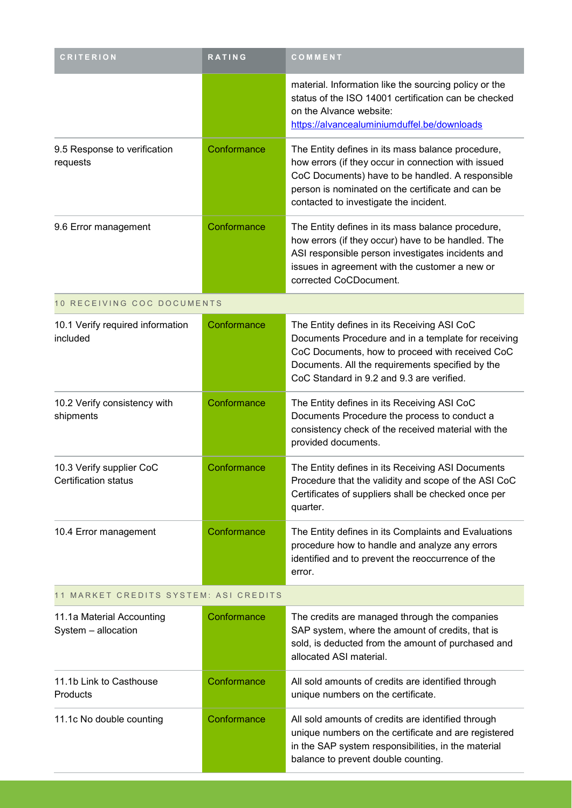| <b>CRITERION</b>                                 | <b>RATING</b> | COMMENT                                                                                                                                                                                                                                                     |
|--------------------------------------------------|---------------|-------------------------------------------------------------------------------------------------------------------------------------------------------------------------------------------------------------------------------------------------------------|
|                                                  |               | material. Information like the sourcing policy or the<br>status of the ISO 14001 certification can be checked<br>on the Alvance website:<br>https://alvancealuminiumduffel.be/downloads                                                                     |
| 9.5 Response to verification<br>requests         | Conformance   | The Entity defines in its mass balance procedure,<br>how errors (if they occur in connection with issued<br>CoC Documents) have to be handled. A responsible<br>person is nominated on the certificate and can be<br>contacted to investigate the incident. |
| 9.6 Error management                             | Conformance   | The Entity defines in its mass balance procedure,<br>how errors (if they occur) have to be handled. The<br>ASI responsible person investigates incidents and<br>issues in agreement with the customer a new or<br>corrected CoCDocument.                    |
| 10 RECEIVING COC DOCUMENTS                       |               |                                                                                                                                                                                                                                                             |
| 10.1 Verify required information<br>included     | Conformance   | The Entity defines in its Receiving ASI CoC<br>Documents Procedure and in a template for receiving<br>CoC Documents, how to proceed with received CoC<br>Documents. All the requirements specified by the<br>CoC Standard in 9.2 and 9.3 are verified.      |
| 10.2 Verify consistency with<br>shipments        | Conformance   | The Entity defines in its Receiving ASI CoC<br>Documents Procedure the process to conduct a<br>consistency check of the received material with the<br>provided documents.                                                                                   |
| 10.3 Verify supplier CoC<br>Certification status | Conformance   | The Entity defines in its Receiving ASI Documents<br>Procedure that the validity and scope of the ASI CoC<br>Certificates of suppliers shall be checked once per<br>quarter.                                                                                |
| 10.4 Error management                            | Conformance   | The Entity defines in its Complaints and Evaluations<br>procedure how to handle and analyze any errors<br>identified and to prevent the reoccurrence of the<br>error.                                                                                       |
| 11 MARKET CREDITS SYSTEM: ASI CREDITS            |               |                                                                                                                                                                                                                                                             |
| 11.1a Material Accounting<br>System - allocation | Conformance   | The credits are managed through the companies<br>SAP system, where the amount of credits, that is<br>sold, is deducted from the amount of purchased and<br>allocated ASI material.                                                                          |
| 11.1b Link to Casthouse<br>Products              | Conformance   | All sold amounts of credits are identified through<br>unique numbers on the certificate.                                                                                                                                                                    |
| 11.1c No double counting                         | Conformance   | All sold amounts of credits are identified through<br>unique numbers on the certificate and are registered<br>in the SAP system responsibilities, in the material<br>balance to prevent double counting.                                                    |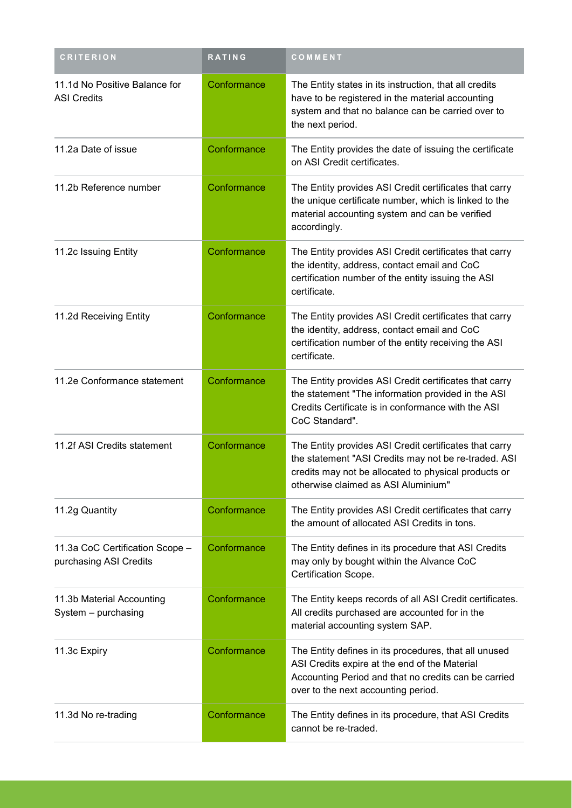| <b>CRITERION</b>                                          | <b>RATING</b> | COMMENT                                                                                                                                                                                                       |
|-----------------------------------------------------------|---------------|---------------------------------------------------------------------------------------------------------------------------------------------------------------------------------------------------------------|
| 11.1d No Positive Balance for<br><b>ASI Credits</b>       | Conformance   | The Entity states in its instruction, that all credits<br>have to be registered in the material accounting<br>system and that no balance can be carried over to<br>the next period.                           |
| 11.2a Date of issue                                       | Conformance   | The Entity provides the date of issuing the certificate<br>on ASI Credit certificates.                                                                                                                        |
| 11.2b Reference number                                    | Conformance   | The Entity provides ASI Credit certificates that carry<br>the unique certificate number, which is linked to the<br>material accounting system and can be verified<br>accordingly.                             |
| 11.2c Issuing Entity                                      | Conformance   | The Entity provides ASI Credit certificates that carry<br>the identity, address, contact email and CoC<br>certification number of the entity issuing the ASI<br>certificate.                                  |
| 11.2d Receiving Entity                                    | Conformance   | The Entity provides ASI Credit certificates that carry<br>the identity, address, contact email and CoC<br>certification number of the entity receiving the ASI<br>certificate.                                |
| 11.2e Conformance statement                               | Conformance   | The Entity provides ASI Credit certificates that carry<br>the statement "The information provided in the ASI<br>Credits Certificate is in conformance with the ASI<br>CoC Standard".                          |
| 11.2f ASI Credits statement                               | Conformance   | The Entity provides ASI Credit certificates that carry<br>the statement "ASI Credits may not be re-traded. ASI<br>credits may not be allocated to physical products or<br>otherwise claimed as ASI Aluminium" |
| 11.2g Quantity                                            | Conformance   | The Entity provides ASI Credit certificates that carry<br>the amount of allocated ASI Credits in tons.                                                                                                        |
| 11.3a CoC Certification Scope -<br>purchasing ASI Credits | Conformance   | The Entity defines in its procedure that ASI Credits<br>may only by bought within the Alvance CoC<br>Certification Scope.                                                                                     |
| 11.3b Material Accounting<br>System - purchasing          | Conformance   | The Entity keeps records of all ASI Credit certificates.<br>All credits purchased are accounted for in the<br>material accounting system SAP.                                                                 |
| 11.3c Expiry                                              | Conformance   | The Entity defines in its procedures, that all unused<br>ASI Credits expire at the end of the Material<br>Accounting Period and that no credits can be carried<br>over to the next accounting period.         |
| 11.3d No re-trading                                       | Conformance   | The Entity defines in its procedure, that ASI Credits<br>cannot be re-traded.                                                                                                                                 |